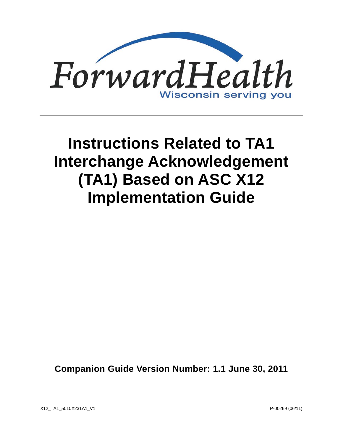

# **Instructions Related to TA1 Interchange Acknowledgement (TA1) Based on ASC X12 Implementation Guide**

**Companion Guide Version Number: 1.1 June 30, 2011**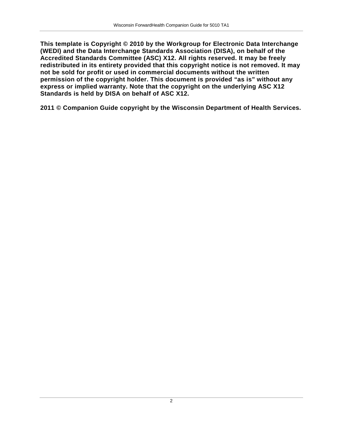**This template is Copyright © 2010 by the Workgroup for Electronic Data Interchange (WEDI) and the Data Interchange Standards Association (DISA), on behalf of the Accredited Standards Committee (ASC) X12. All rights reserved. It may be freely redistributed in its entirety provided that this copyright notice is not removed. It may not be sold for profit or used in commercial documents without the written permission of the copyright holder. This document is provided "as is" without any express or implied warranty. Note that the copyright on the underlying ASC X12 Standards is held by DISA on behalf of ASC X12.**

**2011 © Companion Guide copyright by the Wisconsin Department of Health Services.**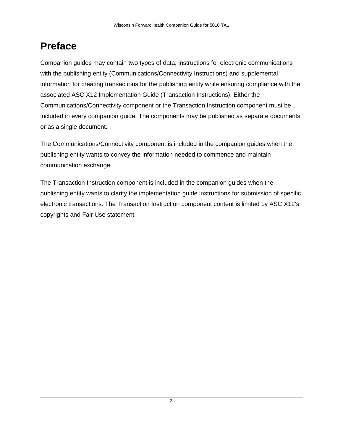# **Preface**

Companion guides may contain two types of data, instructions for electronic communications with the publishing entity (Communications/Connectivity Instructions) and supplemental information for creating transactions for the publishing entity while ensuring compliance with the associated ASC X12 Implementation Guide (Transaction Instructions). Either the Communications/Connectivity component or the Transaction Instruction component must be included in every companion guide. The components may be published as separate documents or as a single document.

The Communications/Connectivity component is included in the companion guides when the publishing entity wants to convey the information needed to commence and maintain communication exchange.

The Transaction Instruction component is included in the companion guides when the publishing entity wants to clarify the implementation guide instructions for submission of specific electronic transactions. The Transaction Instruction component content is limited by ASC X12's copyrights and Fair Use statement.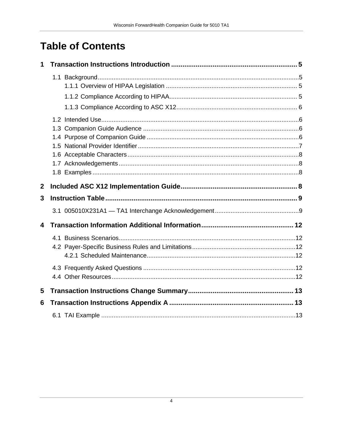# **Table of Contents**

| 1                |  |  |  |  |
|------------------|--|--|--|--|
|                  |  |  |  |  |
|                  |  |  |  |  |
|                  |  |  |  |  |
|                  |  |  |  |  |
|                  |  |  |  |  |
|                  |  |  |  |  |
|                  |  |  |  |  |
|                  |  |  |  |  |
|                  |  |  |  |  |
|                  |  |  |  |  |
|                  |  |  |  |  |
| $\boldsymbol{2}$ |  |  |  |  |
| 3                |  |  |  |  |
|                  |  |  |  |  |
| 4                |  |  |  |  |
|                  |  |  |  |  |
|                  |  |  |  |  |
|                  |  |  |  |  |
|                  |  |  |  |  |
|                  |  |  |  |  |
| 5                |  |  |  |  |
| 6                |  |  |  |  |
|                  |  |  |  |  |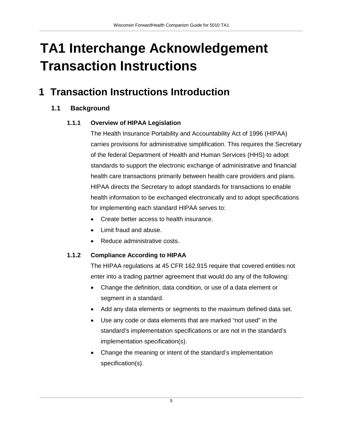# **TA1 Interchange Acknowledgement Transaction Instructions**

# <span id="page-4-1"></span><span id="page-4-0"></span>**1 Transaction Instructions Introduction**

## <span id="page-4-2"></span>**1.1 Background**

#### **1.1.1 Overview of HIPAA Legislation**

The Health Insurance Portability and Accountability Act of 1996 (HIPAA) carries provisions for administrative simplification. This requires the Secretary of the federal Department of Health and Human Services (HHS) to adopt standards to support the electronic exchange of administrative and financial health care transactions primarily between health care providers and plans. HIPAA directs the Secretary to adopt standards for transactions to enable health information to be exchanged electronically and to adopt specifications for implementing each standard HIPAA serves to:

- Create better access to health insurance.
- Limit fraud and abuse.
- Reduce administrative costs.

#### <span id="page-4-3"></span>**1.1.2 Compliance According to HIPAA**

The HIPAA regulations at 45 CFR 162.915 require that covered entities not enter into a trading partner agreement that would do any of the following:

- Change the definition, data condition, or use of a data element or segment in a standard.
- Add any data elements or segments to the maximum defined data set.
- Use any code or data elements that are marked "not used" in the standard's implementation specifications or are not in the standard's implementation specification(s).
- Change the meaning or intent of the standard's implementation specification(s).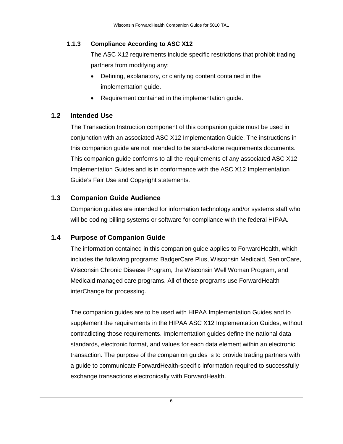#### <span id="page-5-0"></span>**1.1.3 Compliance According to ASC X12**

The ASC X12 requirements include specific restrictions that prohibit trading partners from modifying any:

- Defining, explanatory, or clarifying content contained in the implementation guide.
- Requirement contained in the implementation guide.

### <span id="page-5-1"></span>**1.2 Intended Use**

The Transaction Instruction component of this companion guide must be used in conjunction with an associated ASC X12 Implementation Guide. The instructions in this companion guide are not intended to be stand-alone requirements documents. This companion guide conforms to all the requirements of any associated ASC X12 Implementation Guides and is in conformance with the ASC X12 Implementation Guide's Fair Use and Copyright statements.

### <span id="page-5-2"></span>**1.3 Companion Guide Audience**

Companion guides are intended for information technology and/or systems staff who will be coding billing systems or software for compliance with the federal HIPAA.

## <span id="page-5-3"></span>**1.4 Purpose of Companion Guide**

The information contained in this companion guide applies to ForwardHealth, which includes the following programs: BadgerCare Plus, Wisconsin Medicaid, SeniorCare, Wisconsin Chronic Disease Program, the Wisconsin Well Woman Program, and Medicaid managed care programs. All of these programs use ForwardHealth interChange for processing.

The companion guides are to be used with HIPAA Implementation Guides and to supplement the requirements in the HIPAA ASC X12 Implementation Guides, without contradicting those requirements. Implementation guides define the national data standards, electronic format, and values for each data element within an electronic transaction. The purpose of the companion guides is to provide trading partners with a guide to communicate ForwardHealth-specific information required to successfully exchange transactions electronically with ForwardHealth.

6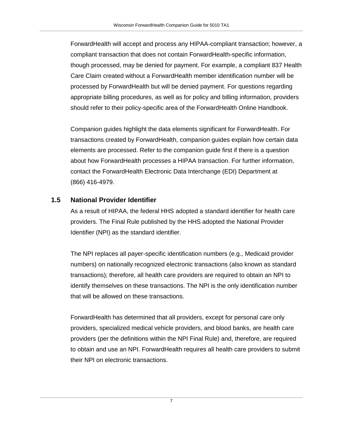ForwardHealth will accept and process any HIPAA-compliant transaction; however, a compliant transaction that does not contain ForwardHealth-specific information, though processed, may be denied for payment. For example, a compliant 837 Health Care Claim created without a ForwardHealth member identification number will be processed by ForwardHealth but will be denied payment. For questions regarding appropriate billing procedures, as well as for policy and billing information, providers should refer to their policy-specific area of the ForwardHealth Online Handbook.

Companion guides highlight the data elements significant for ForwardHealth. For transactions created by ForwardHealth, companion guides explain how certain data elements are processed. Refer to the companion guide first if there is a question about how ForwardHealth processes a HIPAA transaction. For further information, contact the ForwardHealth Electronic Data Interchange (EDI) Department at (866) 416-4979.

#### <span id="page-6-0"></span>**1.5 National Provider Identifier**

As a result of HIPAA, the federal HHS adopted a standard identifier for health care providers. The Final Rule published by the HHS adopted the National Provider Identifier (NPI) as the standard identifier.

The NPI replaces all payer-specific identification numbers (e.g., Medicaid provider numbers) on nationally recognized electronic transactions (also known as standard transactions); therefore, all health care providers are required to obtain an NPI to identify themselves on these transactions. The NPI is the only identification number that will be allowed on these transactions.

ForwardHealth has determined that all providers, except for personal care only providers, specialized medical vehicle providers, and blood banks, are health care providers (per the definitions within the NPI Final Rule) and, therefore, are required to obtain and use an NPI. ForwardHealth requires all health care providers to submit their NPI on electronic transactions.

7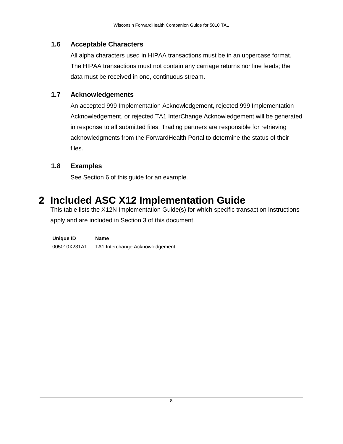#### <span id="page-7-0"></span>**1.6 Acceptable Characters**

All alpha characters used in HIPAA transactions must be in an uppercase format. The HIPAA transactions must not contain any carriage returns nor line feeds; the data must be received in one, continuous stream.

#### <span id="page-7-1"></span>**1.7 Acknowledgements**

An accepted 999 Implementation Acknowledgement, rejected 999 Implementation Acknowledgement, or rejected TA1 InterChange Acknowledgement will be generated in response to all submitted files. Trading partners are responsible for retrieving acknowledgments from the ForwardHealth Portal to determine the status of their files.

#### <span id="page-7-2"></span>**1.8 Examples**

See Section 6 of this guide for an example.

# <span id="page-7-3"></span>**2 Included ASC X12 Implementation Guide**

This table lists the X12N Implementation Guide(s) for which specific transaction instructions apply and are included in Section 3 of this document.

| Unique ID    | Name                            |
|--------------|---------------------------------|
| 005010X231A1 | TA1 Interchange Acknowledgement |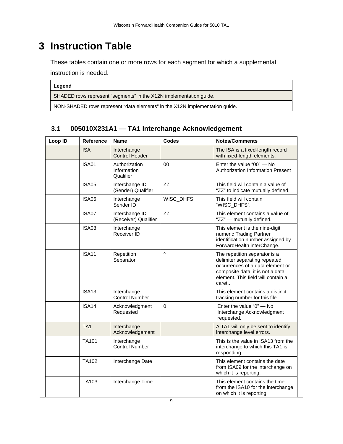# <span id="page-8-0"></span>**3 Instruction Table**

These tables contain one or more rows for each segment for which a supplemental

instruction is needed.

| е<br>ı<br>г<br>г<br>ı |
|-----------------------|
|-----------------------|

SHADED rows represent "segments" in the X12N implementation guide.

NON-SHADED rows represent "data elements" in the X12N implementation guide.

#### <span id="page-8-1"></span>**3.1 005010X231A1 — TA1 Interchange Acknowledgement**

| Loop ID | Reference         | <b>Name</b>                               | <b>Codes</b> | <b>Notes/Comments</b>                                                                                                                                                                 |
|---------|-------------------|-------------------------------------------|--------------|---------------------------------------------------------------------------------------------------------------------------------------------------------------------------------------|
|         | <b>ISA</b>        | Interchange<br><b>Control Header</b>      |              | The ISA is a fixed-length record<br>with fixed-length elements.                                                                                                                       |
|         | <b>ISA01</b>      | Authorization<br>Information<br>Qualifier | 00           | Enter the value "00" - No<br>Authorization Information Present                                                                                                                        |
|         | <b>ISA05</b>      | Interchange ID<br>(Sender) Qualifier      | <b>ZZ</b>    | This field will contain a value of<br>"ZZ" to indicate mutually defined.                                                                                                              |
|         | ISA06             | Interchange<br>Sender ID                  | WISC_DHFS    | This field will contain<br>"WISC_DHFS".                                                                                                                                               |
|         | ISA07             | Interchange ID<br>(Receiver) Qualifier    | ZZ           | This element contains a value of<br>"ZZ" - mutually defined.                                                                                                                          |
|         | ISA08             | Interchange<br>Receiver ID                |              | This element is the nine-digit<br>numeric Trading Partner<br>identification number assigned by<br>ForwardHealth interChange.                                                          |
|         | <b>ISA11</b>      | Repetition<br>Separator                   | Λ            | The repetition separator is a<br>delimiter separating repeated<br>occurrences of a data element or<br>composite data; it is not a data<br>element. This field will contain a<br>caret |
|         | <b>ISA13</b>      | Interchange<br><b>Control Number</b>      |              | This element contains a distinct<br>tracking number for this file.                                                                                                                    |
|         | ISA <sub>14</sub> | Acknowledgment<br>Requested               | $\mathbf 0$  | Enter the value "0" - No<br>Interchange Acknowledgment<br>requested.                                                                                                                  |
|         | TA <sub>1</sub>   | Interchange<br>Acknowledgement            |              | A TA1 will only be sent to identify<br>interchange level errors.                                                                                                                      |
|         | TA <sub>101</sub> | Interchange<br><b>Control Number</b>      |              | This is the value in ISA13 from the<br>interchange to which this TA1 is<br>responding.                                                                                                |
|         | TA102             | Interchange Date                          |              | This element contains the date<br>from ISA09 for the interchange on<br>which it is reporting.                                                                                         |
|         | TA103             | Interchange Time                          |              | This element contains the time<br>from the ISA10 for the interchange<br>on which it is reporting.                                                                                     |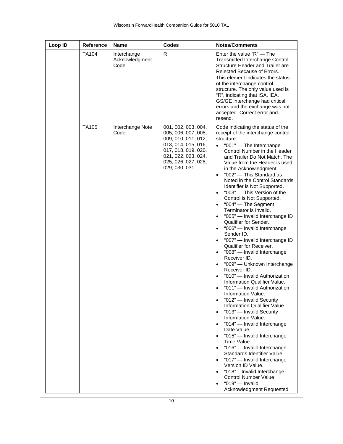| Loop ID | Reference    | <b>Name</b>                           | <b>Codes</b>                                                                                                                                                                   | <b>Notes/Comments</b>                                                                                                                                                                                                                                                                                                                                                                                                                                                                                                                                                                                                                                                                                                                                                                                                                                                                                                                                                                                                                                                                                                                                                                                                                                                                                                                                                                                                                                                  |
|---------|--------------|---------------------------------------|--------------------------------------------------------------------------------------------------------------------------------------------------------------------------------|------------------------------------------------------------------------------------------------------------------------------------------------------------------------------------------------------------------------------------------------------------------------------------------------------------------------------------------------------------------------------------------------------------------------------------------------------------------------------------------------------------------------------------------------------------------------------------------------------------------------------------------------------------------------------------------------------------------------------------------------------------------------------------------------------------------------------------------------------------------------------------------------------------------------------------------------------------------------------------------------------------------------------------------------------------------------------------------------------------------------------------------------------------------------------------------------------------------------------------------------------------------------------------------------------------------------------------------------------------------------------------------------------------------------------------------------------------------------|
|         | <b>TA104</b> | Interchange<br>Acknowledgment<br>Code | R                                                                                                                                                                              | Enter the value "R" — The<br><b>Transmitted Interchange Control</b><br>Structure Header and Trailer are<br>Rejected Because of Errors.<br>This element indicates the status<br>of the interchange control<br>structure. The only value used is<br>"R", indicating that ISA, IEA,<br>GS/GE interchange had critical<br>errors and the exchange was not<br>accepted. Correct error and<br>resend.                                                                                                                                                                                                                                                                                                                                                                                                                                                                                                                                                                                                                                                                                                                                                                                                                                                                                                                                                                                                                                                                        |
|         | TA105        | Interchange Note<br>Code              | 001, 002, 003, 004,<br>005, 006, 007, 008,<br>009, 010, 011, 012,<br>013, 014, 015, 016,<br>017, 018, 019, 020,<br>021, 022, 023, 024,<br>025, 026, 027, 028,<br>029, 030, 031 | Code indicating the status of the<br>receipt of the interchange control<br>structure:<br>"001" - The Interchange<br>$\bullet$<br>Control Number in the Header<br>and Trailer Do Not Match. The<br>Value from the Header is used<br>in the Acknowledgment.<br>"002" - This Standard as<br>$\bullet$<br>Noted in the Control Standards<br>Identifier is Not Supported.<br>"003" - This Version of the<br>$\bullet$<br>Control is Not Supported.<br>"004" - The Segment<br>Terminator is Invalid.<br>"005" - Invalid Interchange ID<br>Qualifier for Sender.<br>"006" - Invalid Interchange<br>$\bullet$<br>Sender ID.<br>"007" - Invalid Interchange ID<br>$\bullet$<br>Qualifier for Receiver.<br>"008" - Invalid Interchange<br>$\bullet$<br>Receiver ID.<br>"009" - Unknown Interchange<br>Receiver ID.<br>"010" - Invalid Authorization<br>$\bullet$<br>Information Qualifier Value.<br>"011" - Invalid Authorization<br>Information Value.<br>"012" - Invalid Security<br>$\bullet$<br>Information Qualifier Value.<br>"013" - Invalid Security<br>$\bullet$<br>Information Value.<br>"014" - Invalid Interchange<br>$\bullet$<br>Date Value.<br>"015" - Invalid Interchange<br>Time Value.<br>"016" - Invalid Interchange<br>$\bullet$<br>Standards Identifier Value.<br>"017" - Invalid Interchange<br>$\bullet$<br>Version ID Value.<br>"018" - Invalid Interchange<br>$\bullet$<br><b>Control Number Value</b><br>"019" $-$ Invalid<br>Acknowledgment Requested |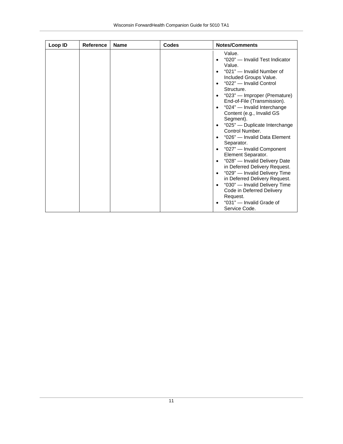| Loop ID | Reference | <b>Name</b> | <b>Codes</b> | <b>Notes/Comments</b>                                                                                                                                                                                                                                                                                                                                                                                                                                                                                                                                                                                                                                                                   |
|---------|-----------|-------------|--------------|-----------------------------------------------------------------------------------------------------------------------------------------------------------------------------------------------------------------------------------------------------------------------------------------------------------------------------------------------------------------------------------------------------------------------------------------------------------------------------------------------------------------------------------------------------------------------------------------------------------------------------------------------------------------------------------------|
|         |           |             |              | Value.<br>"020" — Invalid Test Indicator<br>Value.<br>"021" - Invalid Number of<br>Included Groups Value.<br>"022" - Invalid Control<br>Structure.<br>"023" - Improper (Premature)<br>End-of-File (Transmission).<br>"024" - Invalid Interchange<br>$\bullet$<br>Content (e.g., Invalid GS<br>Segment).<br>"025" - Duplicate Interchange<br>Control Number.<br>"026" — Invalid Data Element<br>Separator.<br>"027" - Invalid Component<br>$\bullet$<br>Element Separator.<br>"028" - Invalid Delivery Date<br>in Deferred Delivery Request.<br>"029" - Invalid Delivery Time<br>in Deferred Delivery Request.<br>"030" - Invalid Delivery Time<br>Code in Deferred Delivery<br>Request. |
|         |           |             |              | "031" - Invalid Grade of<br>Service Code.                                                                                                                                                                                                                                                                                                                                                                                                                                                                                                                                                                                                                                               |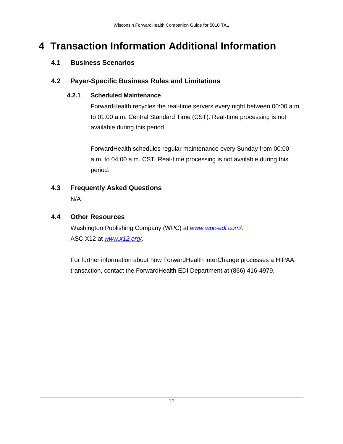# <span id="page-11-1"></span><span id="page-11-0"></span>**4 Transaction Information Additional Information**

## **4.1 Business Scenarios**

### <span id="page-11-3"></span><span id="page-11-2"></span>**4.2 Payer-Specific Business Rules and Limitations**

### **4.2.1 Scheduled Maintenance**

ForwardHealth recycles the real-time servers every night between 00:00 a.m. to 01:00 a.m. Central Standard Time (CST). Real-time processing is not available during this period.

ForwardHealth schedules regular maintenance every Sunday from 00:00 a.m. to 04:00 a.m. CST. Real-time processing is not available during this period.

# <span id="page-11-4"></span>**4.3 Frequently Asked Questions**

N/A

## <span id="page-11-5"></span>**4.4 Other Resources**

Washington Publishing Company (WPC) at *www.wpc-edi.com/*. ASC X12 at *www.x12.org/*.

For further information about how ForwardHealth interChange processes a HIPAA transaction, contact the ForwardHealth EDI Department at (866) 416-4979.